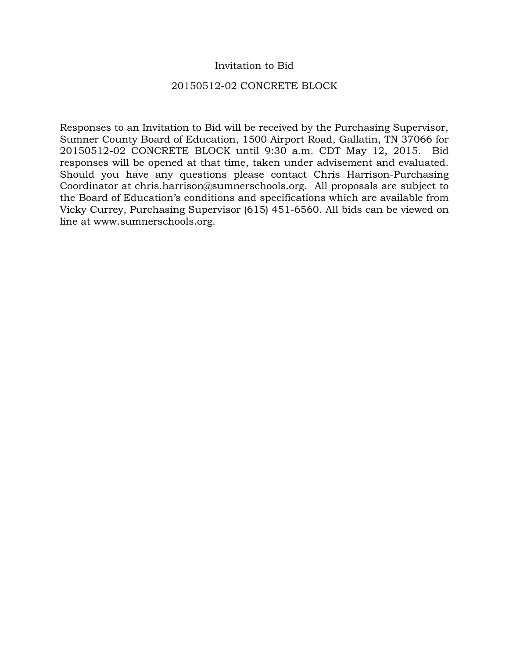## Invitation to Bid

### 20150512-02 CONCRETE BLOCK

Responses to an Invitation to Bid will be received by the Purchasing Supervisor, Sumner County Board of Education, 1500 Airport Road, Gallatin, TN 37066 for 20150512-02 CONCRETE BLOCK until 9:30 a.m. CDT May 12, 2015. Bid responses will be opened at that time, taken under advisement and evaluated. Should you have any questions please contact Chris Harrison-Purchasing Coordinator at chris.harrison@sumnerschools.org. All proposals are subject to the Board of Education's conditions and specifications which are available from Vicky Currey, Purchasing Supervisor (615) 451-6560. All bids can be viewed on line at www.sumnerschools.org.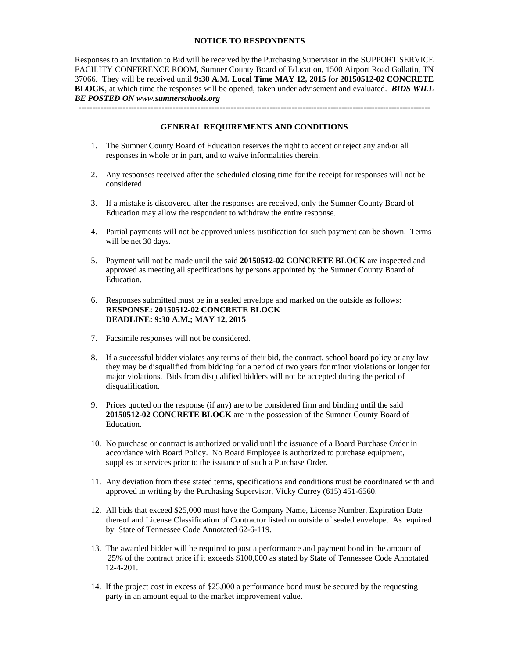### **NOTICE TO RESPONDENTS**

Responses to an Invitation to Bid will be received by the Purchasing Supervisor in the SUPPORT SERVICE FACILITY CONFERENCE ROOM, Sumner County Board of Education, 1500 Airport Road Gallatin, TN 37066. They will be received until **9:30 A.M. Local Time MAY 12, 2015** for **20150512-02 CONCRETE BLOCK**, at which time the responses will be opened, taken under advisement and evaluated. *BIDS WILL BE POSTED ON www.sumnerschools.org* 

**GENERAL REQUIREMENTS AND CONDITIONS** 

-------------------------------------------------------------------------------------------------------------------------------

- 1. The Sumner County Board of Education reserves the right to accept or reject any and/or all responses in whole or in part, and to waive informalities therein.
- 2. Any responses received after the scheduled closing time for the receipt for responses will not be considered.
- 3. If a mistake is discovered after the responses are received, only the Sumner County Board of Education may allow the respondent to withdraw the entire response.
- 4. Partial payments will not be approved unless justification for such payment can be shown. Terms will be net 30 days.
- 5. Payment will not be made until the said **20150512-02 CONCRETE BLOCK** are inspected and approved as meeting all specifications by persons appointed by the Sumner County Board of Education.
- 6. Responses submitted must be in a sealed envelope and marked on the outside as follows: **RESPONSE: 20150512-02 CONCRETE BLOCK DEADLINE: 9:30 A.M.; MAY 12, 2015**
- 7. Facsimile responses will not be considered.
- 8. If a successful bidder violates any terms of their bid, the contract, school board policy or any law they may be disqualified from bidding for a period of two years for minor violations or longer for major violations. Bids from disqualified bidders will not be accepted during the period of disqualification.
- 9. Prices quoted on the response (if any) are to be considered firm and binding until the said **20150512-02 CONCRETE BLOCK** are in the possession of the Sumner County Board of Education.
- 10. No purchase or contract is authorized or valid until the issuance of a Board Purchase Order in accordance with Board Policy. No Board Employee is authorized to purchase equipment, supplies or services prior to the issuance of such a Purchase Order.
- 11. Any deviation from these stated terms, specifications and conditions must be coordinated with and approved in writing by the Purchasing Supervisor, Vicky Currey (615) 451-6560.
- 12. All bids that exceed \$25,000 must have the Company Name, License Number, Expiration Date thereof and License Classification of Contractor listed on outside of sealed envelope. As required by State of Tennessee Code Annotated 62-6-119.
- 13. The awarded bidder will be required to post a performance and payment bond in the amount of 25% of the contract price if it exceeds \$100,000 as stated by State of Tennessee Code Annotated 12-4-201.
- 14. If the project cost in excess of \$25,000 a performance bond must be secured by the requesting party in an amount equal to the market improvement value.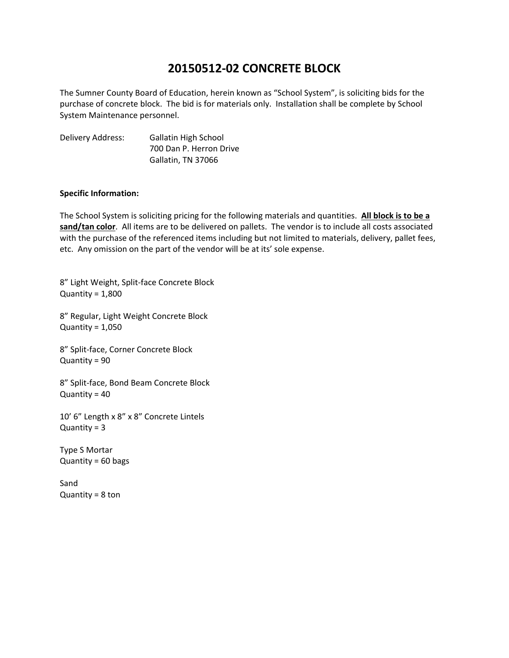# **20150512‐02 CONCRETE BLOCK**

The Sumner County Board of Education, herein known as "School System", is soliciting bids for the purchase of concrete block. The bid is for materials only. Installation shall be complete by School System Maintenance personnel.

Delivery Address: Gallatin High School 700 Dan P. Herron Drive Gallatin, TN 37066

### **Specific Information:**

The School System is soliciting pricing for the following materials and quantities. **All block is to be a sand/tan color**. All items are to be delivered on pallets. The vendor is to include all costs associated with the purchase of the referenced items including but not limited to materials, delivery, pallet fees, etc. Any omission on the part of the vendor will be at its' sole expense.

8" Light Weight, Split‐face Concrete Block Quantity =  $1,800$ 

8" Regular, Light Weight Concrete Block Quantity =  $1,050$ 

8" Split‐face, Corner Concrete Block Quantity = 90

8" Split‐face, Bond Beam Concrete Block Quantity = 40

10' 6" Length x 8" x 8" Concrete Lintels  $Quantity = 3$ 

Type S Mortar Quantity = 60 bags

Sand Quantity =  $8$  ton